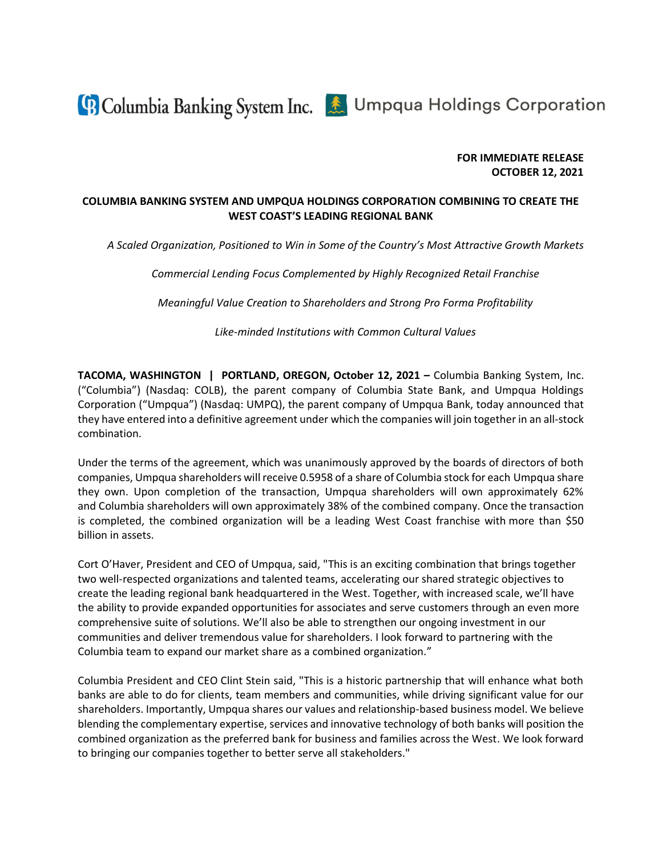**(5) Columbia Banking System Inc.** 4 Umpqua Holdings Corporation

**FOR IMMEDIATE RELEASE OCTOBER 12, 2021**

# **COLUMBIA BANKING SYSTEM AND UMPQUA HOLDINGS CORPORATION COMBINING TO CREATE THE WEST COAST'S LEADING REGIONAL BANK**

*A Scaled Organization, Positioned to Win in Some of the Country's Most Attractive Growth Markets*

*Commercial Lending Focus Complemented by Highly Recognized Retail Franchise*

*Meaningful Value Creation to Shareholders and Strong Pro Forma Profitability*

*Like-minded Institutions with Common Cultural Values*

**TACOMA, WASHINGTON | PORTLAND, OREGON, October 12, 2021 –** Columbia Banking System, Inc. ("Columbia") (Nasdaq: COLB), the parent company of Columbia State Bank, and Umpqua Holdings Corporation ("Umpqua") (Nasdaq: UMPQ), the parent company of Umpqua Bank, today announced that they have entered into a definitive agreement under which the companies will join together in an all-stock combination.

Under the terms of the agreement, which was unanimously approved by the boards of directors of both companies, Umpqua shareholders will receive 0.5958 of a share of Columbia stock for each Umpqua share they own. Upon completion of the transaction, Umpqua shareholders will own approximately 62% and Columbia shareholders will own approximately 38% of the combined company. Once the transaction is completed, the combined organization will be a leading West Coast franchise with more than \$50 billion in assets.

Cort O'Haver, President and CEO of Umpqua, said, "This is an exciting combination that brings together two well-respected organizations and talented teams, accelerating our shared strategic objectives to create the leading regional bank headquartered in the West. Together, with increased scale, we'll have the ability to provide expanded opportunities for associates and serve customers through an even more comprehensive suite of solutions. We'll also be able to strengthen our ongoing investment in our communities and deliver tremendous value for shareholders. I look forward to partnering with the Columbia team to expand our market share as a combined organization."

Columbia President and CEO Clint Stein said, "This is a historic partnership that will enhance what both banks are able to do for clients, team members and communities, while driving significant value for our shareholders. Importantly, Umpqua shares our values and relationship-based business model. We believe blending the complementary expertise, services and innovative technology of both banks will position the combined organization as the preferred bank for business and families across the West. We look forward to bringing our companies together to better serve all stakeholders."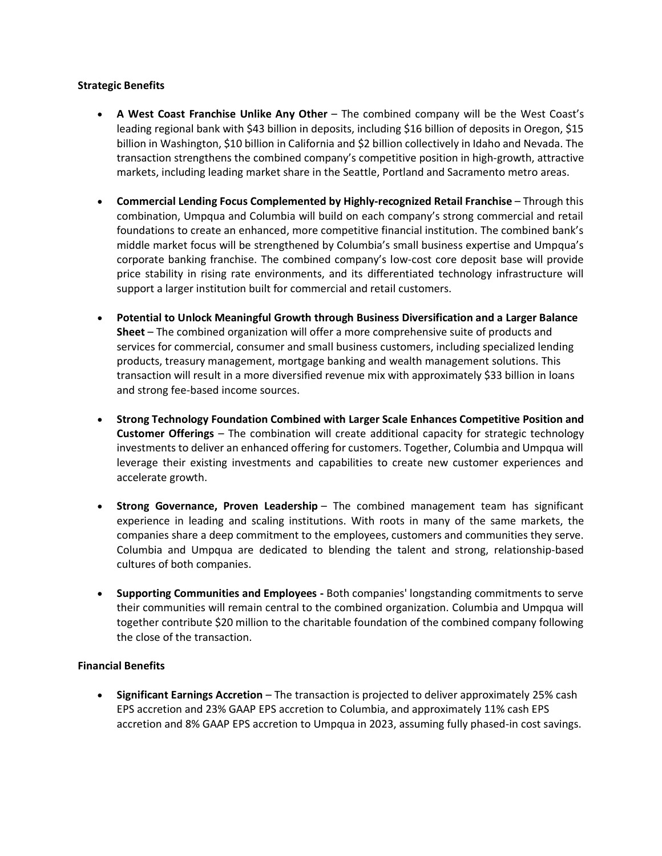# **Strategic Benefits**

- **A West Coast Franchise Unlike Any Other** The combined company will be the West Coast's leading regional bank with \$43 billion in deposits, including \$16 billion of deposits in Oregon, \$15 billion in Washington, \$10 billion in California and \$2 billion collectively in Idaho and Nevada. The transaction strengthens the combined company's competitive position in high-growth, attractive markets, including leading market share in the Seattle, Portland and Sacramento metro areas.
- **Commercial Lending Focus Complemented by Highly-recognized Retail Franchise** Through this combination, Umpqua and Columbia will build on each company's strong commercial and retail foundations to create an enhanced, more competitive financial institution. The combined bank's middle market focus will be strengthened by Columbia's small business expertise and Umpqua's corporate banking franchise. The combined company's low-cost core deposit base will provide price stability in rising rate environments, and its differentiated technology infrastructure will support a larger institution built for commercial and retail customers.
- **Potential to Unlock Meaningful Growth through Business Diversification and a Larger Balance Sheet** – The combined organization will offer a more comprehensive suite of products and services for commercial, consumer and small business customers, including specialized lending products, treasury management, mortgage banking and wealth management solutions. This transaction will result in a more diversified revenue mix with approximately \$33 billion in loans and strong fee-based income sources.
- **Strong Technology Foundation Combined with Larger Scale Enhances Competitive Position and Customer Offerings** – The combination will create additional capacity for strategic technology investments to deliver an enhanced offering for customers. Together, Columbia and Umpqua will leverage their existing investments and capabilities to create new customer experiences and accelerate growth.
- **Strong Governance, Proven Leadership** The combined management team has significant experience in leading and scaling institutions. With roots in many of the same markets, the companies share a deep commitment to the employees, customers and communities they serve. Columbia and Umpqua are dedicated to blending the talent and strong, relationship-based cultures of both companies.
- **Supporting Communities and Employees -** Both companies' longstanding commitments to serve their communities will remain central to the combined organization. Columbia and Umpqua will together contribute \$20 million to the charitable foundation of the combined company following the close of the transaction.

# **Financial Benefits**

• **Significant Earnings Accretion** – The transaction is projected to deliver approximately 25% cash EPS accretion and 23% GAAP EPS accretion to Columbia, and approximately 11% cash EPS accretion and 8% GAAP EPS accretion to Umpqua in 2023, assuming fully phased-in cost savings.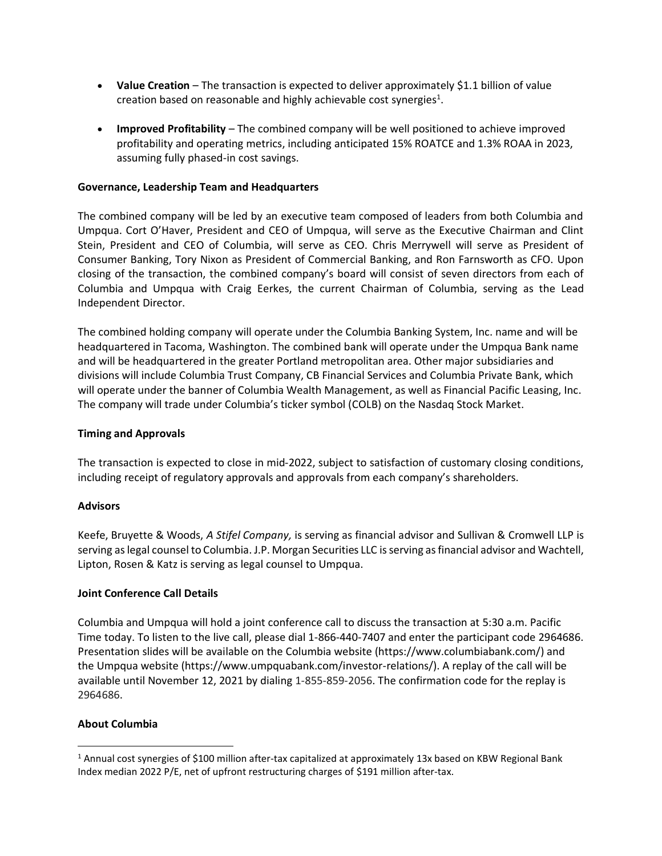- **Value Creation**  The transaction is expected to deliver approximately \$1.1 billion of value creation based on reasonable and highly achievable cost synergies<sup>1</sup>.
- **Improved Profitability** The combined company will be well positioned to achieve improved profitability and operating metrics, including anticipated 15% ROATCE and 1.3% ROAA in 2023, assuming fully phased-in cost savings.

### **Governance, Leadership Team and Headquarters**

The combined company will be led by an executive team composed of leaders from both Columbia and Umpqua. Cort O'Haver, President and CEO of Umpqua, will serve as the Executive Chairman and Clint Stein, President and CEO of Columbia, will serve as CEO. Chris Merrywell will serve as President of Consumer Banking, Tory Nixon as President of Commercial Banking, and Ron Farnsworth as CFO. Upon closing of the transaction, the combined company's board will consist of seven directors from each of Columbia and Umpqua with Craig Eerkes, the current Chairman of Columbia, serving as the Lead Independent Director.

The combined holding company will operate under the Columbia Banking System, Inc. name and will be headquartered in Tacoma, Washington. The combined bank will operate under the Umpqua Bank name and will be headquartered in the greater Portland metropolitan area. Other major subsidiaries and divisions will include Columbia Trust Company, CB Financial Services and Columbia Private Bank, which will operate under the banner of Columbia Wealth Management, as well as Financial Pacific Leasing, Inc. The company will trade under Columbia's ticker symbol (COLB) on the Nasdaq Stock Market.

### **Timing and Approvals**

The transaction is expected to close in mid-2022, subject to satisfaction of customary closing conditions, including receipt of regulatory approvals and approvals from each company's shareholders.

#### **Advisors**

Keefe, Bruyette & Woods, *A Stifel Company,* is serving as financial advisor and Sullivan & Cromwell LLP is serving as legal counsel to Columbia. J.P. Morgan Securities LLC is serving as financial advisor and Wachtell, Lipton, Rosen & Katz is serving as legal counsel to Umpqua.

#### **Joint Conference Call Details**

Columbia and Umpqua will hold a joint conference call to discuss the transaction at 5:30 a.m. Pacific Time today. To listen to the live call, please dial 1-866-440-7407 and enter the participant code 2964686. Presentation slides will be available on the Columbia website (https://www.columbiabank.com/) and the Umpqua website (https://www.umpquabank.com/investor-relations/). A replay of the call will be available until November 12, 2021 by dialing 1-855-859-2056. The confirmation code for the replay is 2964686.

# **About Columbia**

<sup>1</sup> Annual cost synergies of \$100 million after-tax capitalized at approximately 13x based on KBW Regional Bank Index median 2022 P/E, net of upfront restructuring charges of \$191 million after-tax.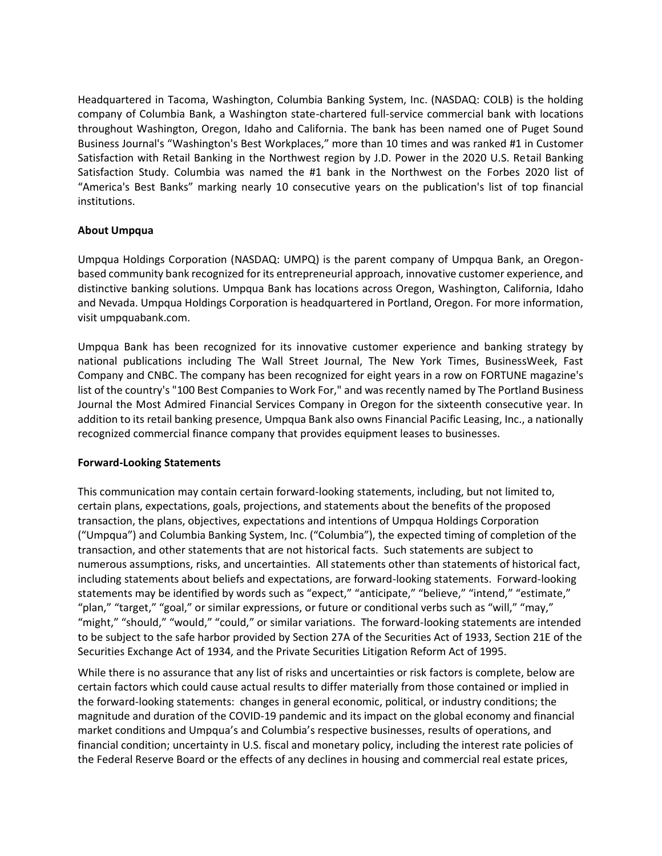Headquartered in Tacoma, Washington, Columbia Banking System, Inc. (NASDAQ: COLB) is the holding company of Columbia Bank, a Washington state-chartered full-service commercial bank with locations throughout Washington, Oregon, Idaho and California. The bank has been named one of Puget Sound Business Journal's "Washington's Best Workplaces," more than 10 times and was ranked #1 in Customer Satisfaction with Retail Banking in the Northwest region by J.D. Power in the 2020 U.S. Retail Banking Satisfaction Study. Columbia was named the #1 bank in the Northwest on the Forbes 2020 list of "America's Best Banks" marking nearly 10 consecutive years on the publication's list of top financial institutions.

# **About Umpqua**

Umpqua Holdings Corporation (NASDAQ: UMPQ) is the parent company of Umpqua Bank, an Oregonbased community bank recognized for its entrepreneurial approach, innovative customer experience, and distinctive banking solutions. Umpqua Bank has locations across Oregon, Washington, California, Idaho and Nevada. Umpqua Holdings Corporation is headquartered in Portland, Oregon. For more information, visit umpquabank.com.

Umpqua Bank has been recognized for its innovative customer experience and banking strategy by national publications including The Wall Street Journal, The New York Times, BusinessWeek, Fast Company and CNBC. The company has been recognized for eight years in a row on FORTUNE magazine's list of the country's "100 Best Companies to Work For," and was recently named by The Portland Business Journal the Most Admired Financial Services Company in Oregon for the sixteenth consecutive year. In addition to its retail banking presence, Umpqua Bank also owns Financial Pacific Leasing, Inc., a nationally recognized commercial finance company that provides equipment leases to businesses.

# **Forward-Looking Statements**

This communication may contain certain forward-looking statements, including, but not limited to, certain plans, expectations, goals, projections, and statements about the benefits of the proposed transaction, the plans, objectives, expectations and intentions of Umpqua Holdings Corporation ("Umpqua") and Columbia Banking System, Inc. ("Columbia"), the expected timing of completion of the transaction, and other statements that are not historical facts. Such statements are subject to numerous assumptions, risks, and uncertainties. All statements other than statements of historical fact, including statements about beliefs and expectations, are forward-looking statements. Forward-looking statements may be identified by words such as "expect," "anticipate," "believe," "intend," "estimate," "plan," "target," "goal," or similar expressions, or future or conditional verbs such as "will," "may," "might," "should," "would," "could," or similar variations. The forward-looking statements are intended to be subject to the safe harbor provided by Section 27A of the Securities Act of 1933, Section 21E of the Securities Exchange Act of 1934, and the Private Securities Litigation Reform Act of 1995.

While there is no assurance that any list of risks and uncertainties or risk factors is complete, below are certain factors which could cause actual results to differ materially from those contained or implied in the forward-looking statements: changes in general economic, political, or industry conditions; the magnitude and duration of the COVID-19 pandemic and its impact on the global economy and financial market conditions and Umpqua's and Columbia's respective businesses, results of operations, and financial condition; uncertainty in U.S. fiscal and monetary policy, including the interest rate policies of the Federal Reserve Board or the effects of any declines in housing and commercial real estate prices,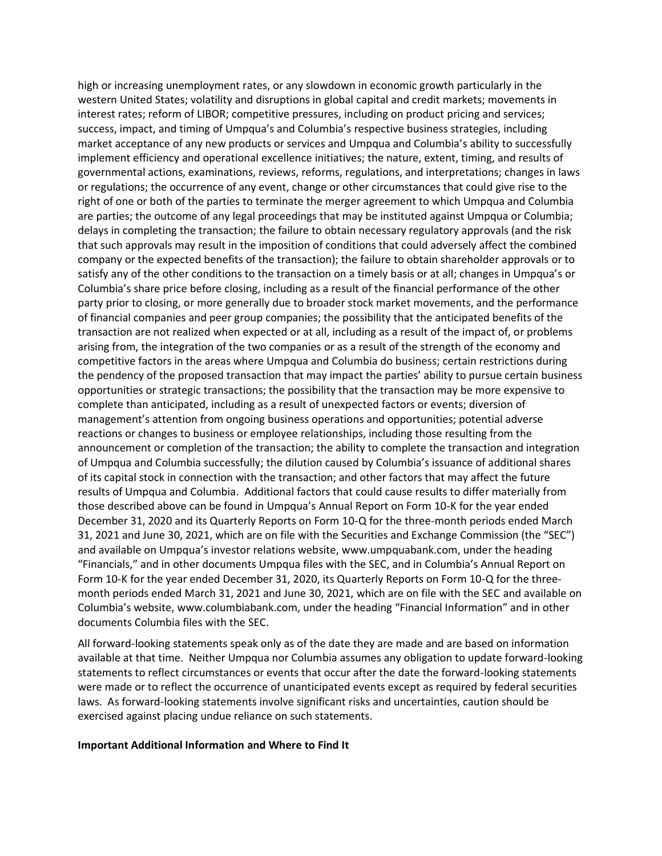high or increasing unemployment rates, or any slowdown in economic growth particularly in the western United States; volatility and disruptions in global capital and credit markets; movements in interest rates; reform of LIBOR; competitive pressures, including on product pricing and services; success, impact, and timing of Umpqua's and Columbia's respective business strategies, including market acceptance of any new products or services and Umpqua and Columbia's ability to successfully implement efficiency and operational excellence initiatives; the nature, extent, timing, and results of governmental actions, examinations, reviews, reforms, regulations, and interpretations; changes in laws or regulations; the occurrence of any event, change or other circumstances that could give rise to the right of one or both of the parties to terminate the merger agreement to which Umpqua and Columbia are parties; the outcome of any legal proceedings that may be instituted against Umpqua or Columbia; delays in completing the transaction; the failure to obtain necessary regulatory approvals (and the risk that such approvals may result in the imposition of conditions that could adversely affect the combined company or the expected benefits of the transaction); the failure to obtain shareholder approvals or to satisfy any of the other conditions to the transaction on a timely basis or at all; changes in Umpqua's or Columbia's share price before closing, including as a result of the financial performance of the other party prior to closing, or more generally due to broader stock market movements, and the performance of financial companies and peer group companies; the possibility that the anticipated benefits of the transaction are not realized when expected or at all, including as a result of the impact of, or problems arising from, the integration of the two companies or as a result of the strength of the economy and competitive factors in the areas where Umpqua and Columbia do business; certain restrictions during the pendency of the proposed transaction that may impact the parties' ability to pursue certain business opportunities or strategic transactions; the possibility that the transaction may be more expensive to complete than anticipated, including as a result of unexpected factors or events; diversion of management's attention from ongoing business operations and opportunities; potential adverse reactions or changes to business or employee relationships, including those resulting from the announcement or completion of the transaction; the ability to complete the transaction and integration of Umpqua and Columbia successfully; the dilution caused by Columbia's issuance of additional shares of its capital stock in connection with the transaction; and other factors that may affect the future results of Umpqua and Columbia. Additional factors that could cause results to differ materially from those described above can be found in Umpqua's Annual Report on Form 10-K for the year ended December 31, 2020 and its Quarterly Reports on Form 10-Q for the three-month periods ended March 31, 2021 and June 30, 2021, which are on file with the Securities and Exchange Commission (the "SEC") and available on Umpqua's investor relations website, www.umpquabank.com, under the heading "Financials," and in other documents Umpqua files with the SEC, and in Columbia's Annual Report on Form 10-K for the year ended December 31, 2020, its Quarterly Reports on Form 10-Q for the threemonth periods ended March 31, 2021 and June 30, 2021, which are on file with the SEC and available on Columbia's website, www.columbiabank.com, under the heading "Financial Information" and in other documents Columbia files with the SEC.

All forward-looking statements speak only as of the date they are made and are based on information available at that time. Neither Umpqua nor Columbia assumes any obligation to update forward-looking statements to reflect circumstances or events that occur after the date the forward-looking statements were made or to reflect the occurrence of unanticipated events except as required by federal securities laws. As forward-looking statements involve significant risks and uncertainties, caution should be exercised against placing undue reliance on such statements.

### **Important Additional Information and Where to Find It**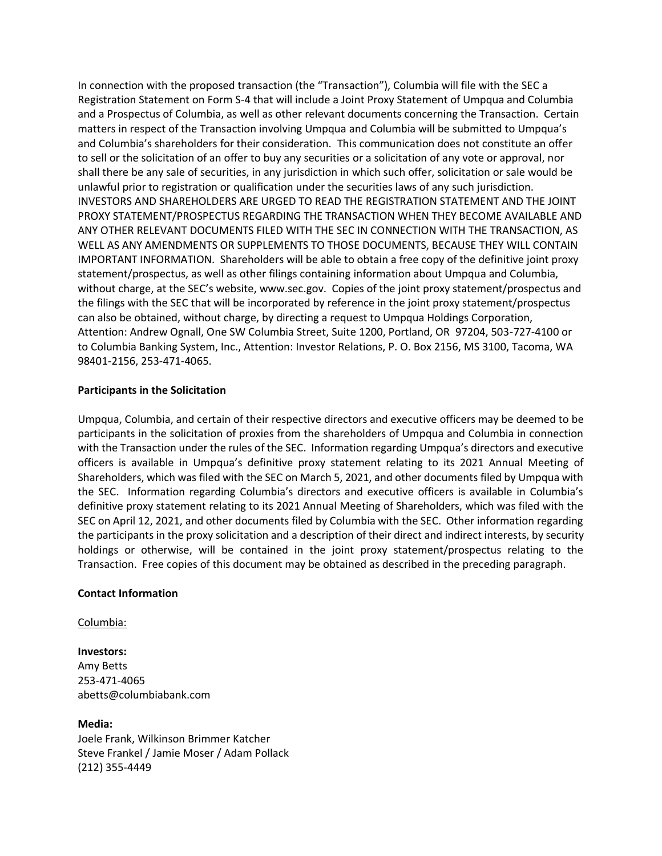In connection with the proposed transaction (the "Transaction"), Columbia will file with the SEC a Registration Statement on Form S-4 that will include a Joint Proxy Statement of Umpqua and Columbia and a Prospectus of Columbia, as well as other relevant documents concerning the Transaction. Certain matters in respect of the Transaction involving Umpqua and Columbia will be submitted to Umpqua's and Columbia's shareholders for their consideration. This communication does not constitute an offer to sell or the solicitation of an offer to buy any securities or a solicitation of any vote or approval, nor shall there be any sale of securities, in any jurisdiction in which such offer, solicitation or sale would be unlawful prior to registration or qualification under the securities laws of any such jurisdiction. INVESTORS AND SHAREHOLDERS ARE URGED TO READ THE REGISTRATION STATEMENT AND THE JOINT PROXY STATEMENT/PROSPECTUS REGARDING THE TRANSACTION WHEN THEY BECOME AVAILABLE AND ANY OTHER RELEVANT DOCUMENTS FILED WITH THE SEC IN CONNECTION WITH THE TRANSACTION, AS WELL AS ANY AMENDMENTS OR SUPPLEMENTS TO THOSE DOCUMENTS, BECAUSE THEY WILL CONTAIN IMPORTANT INFORMATION. Shareholders will be able to obtain a free copy of the definitive joint proxy statement/prospectus, as well as other filings containing information about Umpqua and Columbia, without charge, at the SEC's website, www.sec.gov. Copies of the joint proxy statement/prospectus and the filings with the SEC that will be incorporated by reference in the joint proxy statement/prospectus can also be obtained, without charge, by directing a request to Umpqua Holdings Corporation, Attention: Andrew Ognall, One SW Columbia Street, Suite 1200, Portland, OR 97204, 503-727-4100 or to Columbia Banking System, Inc., Attention: Investor Relations, P. O. Box 2156, MS 3100, Tacoma, WA 98401-2156, 253-471-4065.

### **Participants in the Solicitation**

Umpqua, Columbia, and certain of their respective directors and executive officers may be deemed to be participants in the solicitation of proxies from the shareholders of Umpqua and Columbia in connection with the Transaction under the rules of the SEC. Information regarding Umpqua's directors and executive officers is available in Umpqua's definitive proxy statement relating to its 2021 Annual Meeting of Shareholders, which was filed with the SEC on March 5, 2021, and other documents filed by Umpqua with the SEC. Information regarding Columbia's directors and executive officers is available in Columbia's definitive proxy statement relating to its 2021 Annual Meeting of Shareholders, which was filed with the SEC on April 12, 2021, and other documents filed by Columbia with the SEC. Other information regarding the participants in the proxy solicitation and a description of their direct and indirect interests, by security holdings or otherwise, will be contained in the joint proxy statement/prospectus relating to the Transaction. Free copies of this document may be obtained as described in the preceding paragraph.

#### **Contact Information**

Columbia:

**Investors:** Amy Betts 253-471-4065 abetts@columbiabank.com

#### **Media:**

Joele Frank, Wilkinson Brimmer Katcher Steve Frankel / Jamie Moser / Adam Pollack (212) 355-4449